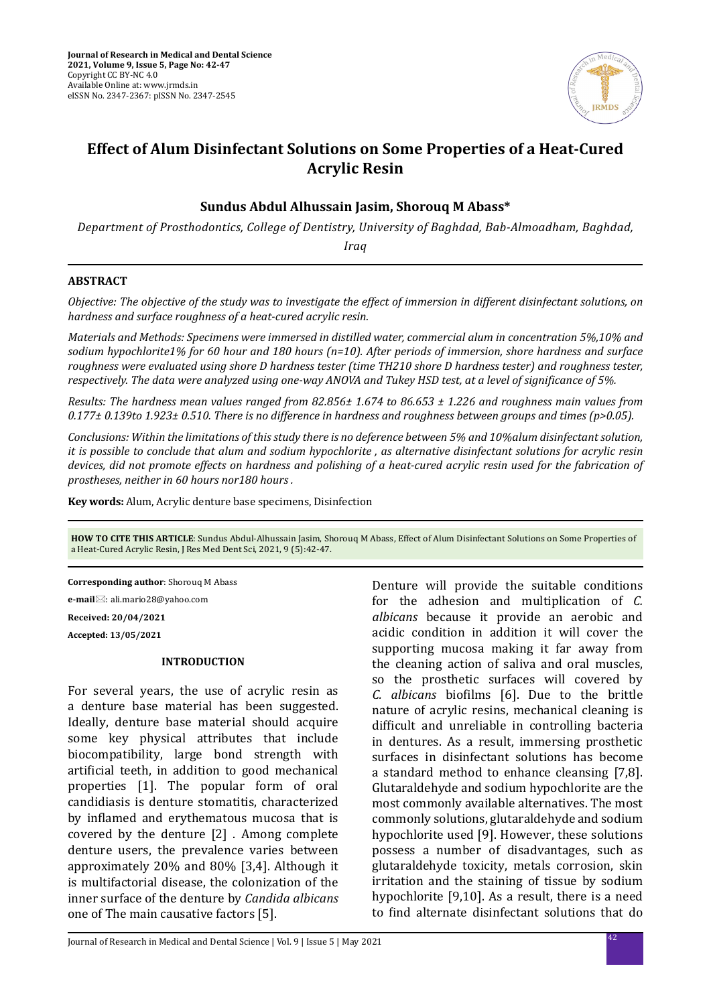

# **Effect of Alum Disinfectant Solutions on Some Properties of a Heat-Cured Acrylic Resin**

### **Sundus Abdul Alhussain Jasim, Shorouq M Abass\***

*Department of Prosthodontics, College of Dentistry, University of Baghdad, Bab-Almoadham, Baghdad,* 

*Iraq*

#### **ABSTRACT**

*Objective: The objective of the study was to investigate the effect of immersion in different disinfectant solutions, on hardness and surface roughness of a heat-cured acrylic resin.*

*Materials and Methods: Specimens were immersed in distilled water, commercial alum in concentration 5%,10% and sodium hypochlorite1% for 60 hour and 180 hours (n=10). After periods of immersion, shore hardness and surface roughness were evaluated using shore D hardness tester (time TH210 shore D hardness tester) and roughness tester, respectively. The data were analyzed using one-way ANOVA and Tukey HSD test, at a level of significance of 5%.*

*Results: The hardness mean values ranged from 82.856± 1.674 to 86.653 ± 1.226 and roughness main values from 0.177± 0.139to 1.923± 0.510. There is no difference in hardness and roughness between groups and times (p>0.05).* 

*Conclusions: Within the limitations of this study there is no deference between 5% and 10%alum disinfectant solution, it is possible to conclude that alum and sodium hypochlorite , as alternative disinfectant solutions for acrylic resin devices, did not promote effects on hardness and polishing of a heat-cured acrylic resin used for the fabrication of prostheses, neither in 60 hours nor180 hours .*

**Key words:** Alum, Acrylic denture base specimens, Disinfection

**HOW TO CITE THIS ARTICLE**: Sundus Abdul-Alhussain Jasim, Shorouq M Abass, Effect of Alum Disinfectant Solutions on Some Properties of a Heat-Cured Acrylic Resin, J Res Med Dent Sci, 2021, 9 (5):42-47.

**Corresponding author**: Shorouq M Abass

**e-mail**⊠: ali.mario28@yahoo.com

**Received: 20/04/2021**

**Accepted: 13/05/2021**

## **INTRODUCTION**

For several years, the use of acrylic resin as a denture base material has been suggested. Ideally, denture base material should acquire some key physical attributes that include biocompatibility, large bond strength with artificial teeth, in addition to good mechanical properties [1]. The popular form of oral candidiasis is denture stomatitis, characterized by inflamed and erythematous mucosa that is covered by the denture [2] . Among complete denture users, the prevalence varies between approximately 20% and 80% [3,4]. Although it is multifactorial disease, the colonization of the inner surface of the denture by *Candida albicans* one of The main causative factors [5].

Denture will provide the suitable conditions for the adhesion and multiplication of *C. albicans* because it provide an aerobic and acidic condition in addition it will cover the supporting mucosa making it far away from the cleaning action of saliva and oral muscles, so the prosthetic surfaces will covered by *C. albicans* biofilms [6]. Due to the brittle nature of acrylic resins, mechanical cleaning is difficult and unreliable in controlling bacteria in dentures. As a result, immersing prosthetic surfaces in disinfectant solutions has become a standard method to enhance cleansing [7,8]. Glutaraldehyde and sodium hypochlorite are the most commonly available alternatives. The most commonly solutions, glutaraldehyde and sodium hypochlorite used [9]. However, these solutions possess a number of disadvantages, such as glutaraldehyde toxicity, metals corrosion, skin irritation and the staining of tissue by sodium hypochlorite [9,10]. As a result, there is a need to find alternate disinfectant solutions that do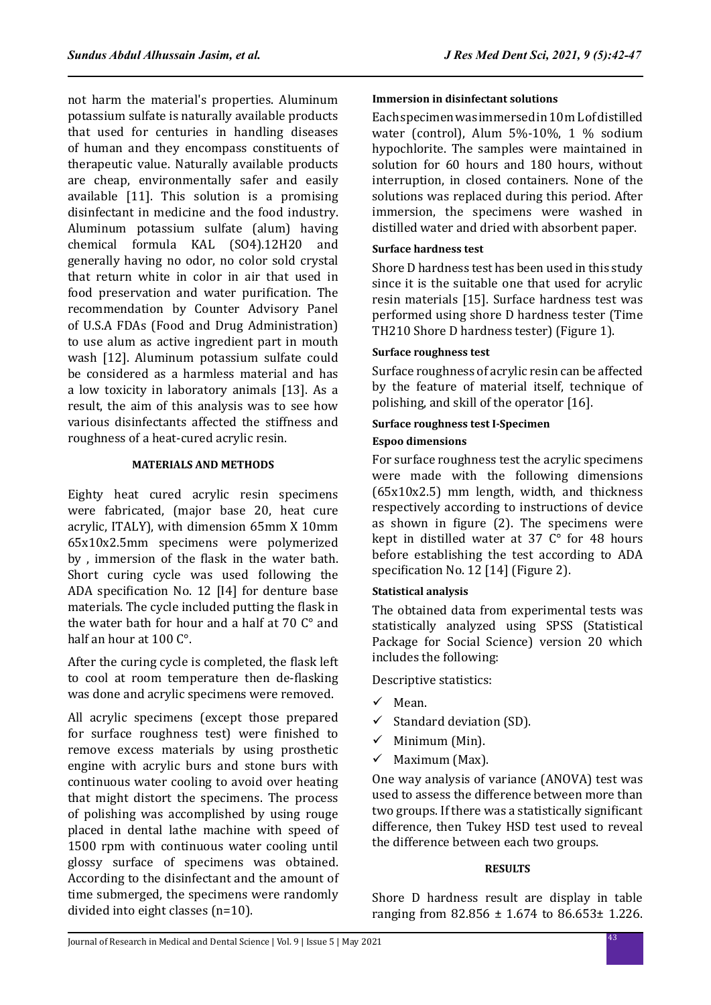not harm the material's properties. Aluminum potassium sulfate is naturally available products that used for centuries in handling diseases of human and they encompass constituents of therapeutic value. Naturally available products are cheap, environmentally safer and easily available [11]. This solution is a promising disinfectant in medicine and the food industry. Aluminum potassium sulfate (alum) having chemical formula KAL (SO4).12H20 and generally having no odor, no color sold crystal that return white in color in air that used in food preservation and water purification. The recommendation by Counter Advisory Panel of U.S.A FDAs (Food and Drug Administration) to use alum as active ingredient part in mouth wash [12]. Aluminum potassium sulfate could be considered as a harmless material and has a low toxicity in laboratory animals [13]. As a result, the aim of this analysis was to see how various disinfectants affected the stiffness and roughness of a heat-cured acrylic resin.

#### **MATERIALS AND METHODS**

Eighty heat cured acrylic resin specimens were fabricated, (major base 20, heat cure acrylic, ITALY), with dimension 65mm X 10mm 65x10x2.5mm specimens were polymerized by , immersion of the flask in the water bath. Short curing cycle was used following the ADA specification No. 12 [I4] for denture base materials. The cycle included putting the flask in the water bath for hour and a half at 70 C° and half an hour at 100 C°.

After the curing cycle is completed, the flask left to cool at room temperature then de-flasking was done and acrylic specimens were removed.

All acrylic specimens (except those prepared for surface roughness test) were finished to remove excess materials by using prosthetic engine with acrylic burs and stone burs with continuous water cooling to avoid over heating that might distort the specimens. The process of polishing was accomplished by using rouge placed in dental lathe machine with speed of 1500 rpm with continuous water cooling until glossy surface of specimens was obtained. According to the disinfectant and the amount of time submerged, the specimens were randomly divided into eight classes (n=10).

### **Immersion in disinfectant solutions**

Each specimen was immersed in 10 m L of distilled water (control), Alum 5%-10%, 1 % sodium hypochlorite. The samples were maintained in solution for 60 hours and 180 hours, without interruption, in closed containers. None of the solutions was replaced during this period. After immersion, the specimens were washed in distilled water and dried with absorbent paper.

### **Surface hardness test**

Shore D hardness test has been used in this study since it is the suitable one that used for acrylic resin materials [15]. Surface hardness test was performed using shore D hardness tester (Time TH210 Shore D hardness tester) (Figure 1).

### **Surface roughness test**

Surface roughness of acrylic resin can be affected by the feature of material itself, technique of polishing, and skill of the operator [16].

## **Surface roughness test I-Specimen**

#### **Espoo dimensions**

For surface roughness test the acrylic specimens were made with the following dimensions (65x10x2.5) mm length, width, and thickness respectively according to instructions of device as shown in figure (2). The specimens were kept in distilled water at 37 C° for 48 hours before establishing the test according to ADA specification No. 12 [14] (Figure 2).

### **Statistical analysis**

The obtained data from experimental tests was statistically analyzed using SPSS (Statistical Package for Social Science) version 20 which includes the following:

Descriptive statistics:

- $\checkmark$  Mean.
- $\checkmark$  Standard deviation (SD).
- $\checkmark$  Minimum (Min).
- $\checkmark$  Maximum (Max).

One way analysis of variance (ANOVA) test was used to assess the difference between more than two groups. If there was a statistically significant difference, then Tukey HSD test used to reveal the difference between each two groups.

### **RESULTS**

Shore D hardness result are display in table ranging from 82.856 ± 1.674 to 86.653± 1.226.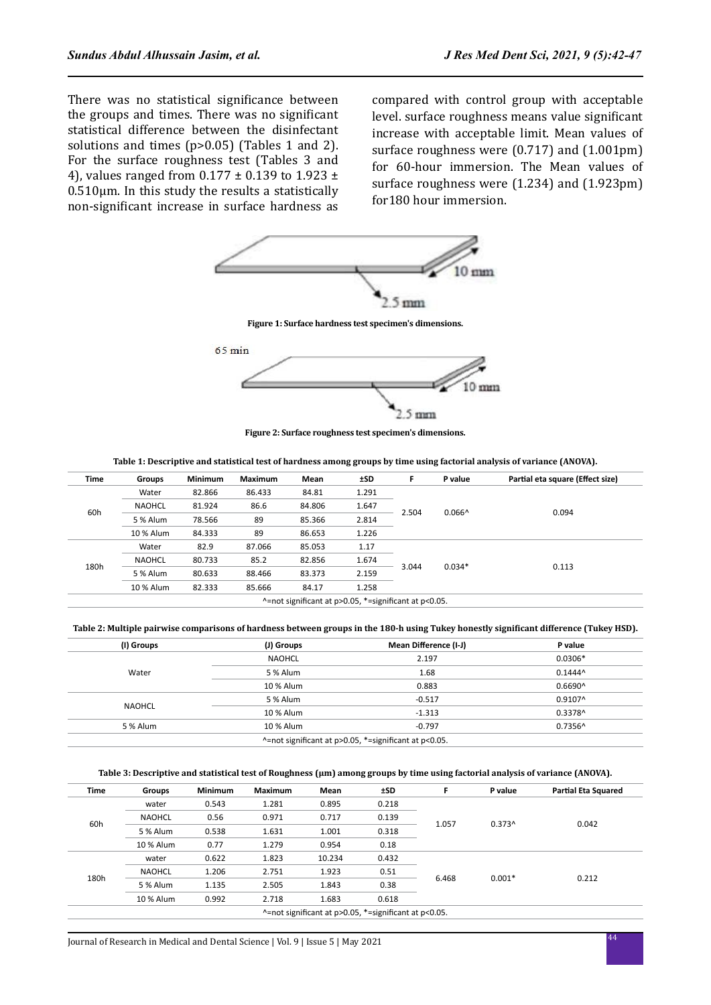There was no statistical significance between the groups and times. There was no significant statistical difference between the disinfectant solutions and times (p>0.05) (Tables 1 and 2). For the surface roughness test (Tables 3 and 4), values ranged from  $0.177 \pm 0.139$  to  $1.923 \pm 1.02$  $0.510 \mu$ m. In this study the results a statistically non-significant increase in surface hardness as compared with control group with acceptable level. surface roughness means value significant increase with acceptable limit. Mean values of surface roughness were (0.717) and (1.001pm) for 60-hour immersion. The Mean values of surface roughness were (1.234) and (1.923pm) for180 hour immersion.



**Figure 1: Surface hardness test specimen's dimensions.**



**Figure 2: Surface roughness test specimen's dimensions.**

| Table 1: Descriptive and statistical test of hardness among groups by time using factorial analysis of variance (ANOVA). |  |
|--------------------------------------------------------------------------------------------------------------------------|--|
|                                                                                                                          |  |
|                                                                                                                          |  |

| Time | Groups        | <b>Minimum</b> | <b>Maximum</b> | Mean   | <b>±SD</b> | F     | P value            | Partial eta square (Effect size) |
|------|---------------|----------------|----------------|--------|------------|-------|--------------------|----------------------------------|
|      | Water         | 82.866         | 86.433         | 84.81  | 1.291      | 2.504 |                    |                                  |
|      | <b>NAOHCL</b> | 81.924         | 86.6           | 84.806 | 1.647      |       |                    |                                  |
| 60h  | 5 % Alum      | 78.566         | 89             | 85.366 | 2.814      |       | $0.066^{\text{A}}$ | 0.094                            |
|      | 10 % Alum     | 84.333         | 89             | 86.653 | 1.226      |       |                    |                                  |
| 180h | Water         | 82.9           | 87.066         | 85.053 | 1.17       | 3.044 |                    | 0.113                            |
|      | <b>NAOHCL</b> | 80.733         | 85.2           | 82.856 | 1.674      |       |                    |                                  |
|      | 5 % Alum      | 80.633         | 88.466         | 83.373 | 2.159      |       | $0.034*$           |                                  |
|      | 10 % Alum     | 82.333         | 85.666         | 84.17  | 1.258      |       |                    |                                  |

**Table 2: Multiple pairwise comparisons of hardness between groups in the 180-h using Tukey honestly significant difference (Tukey HSD).**

| (I) Groups | (J) Groups    | Mean Difference (I-J)                                 | P value          |
|------------|---------------|-------------------------------------------------------|------------------|
|            | <b>NAOHCL</b> | 2.197                                                 | $0.0306*$        |
| Water      | 5 % Alum      | 1.68                                                  | $0.1444^{\circ}$ |
|            | 10 % Alum     | 0.883                                                 | $0.6690^{\circ}$ |
|            | 5 % Alum      | $-0.517$                                              | $0.9107^$        |
| NAOHCL     | 10 % Alum     | $-1.313$                                              | 0.3378^          |
| 5 % Alum   | 10 % Alum     | $-0.797$                                              | $0.7356^{\circ}$ |
|            |               | ^=not significant at p>0.05, *=significant at p<0.05. |                  |

#### Table 3: Descriptive and statistical test of Roughness (µm) among groups by time using factorial analysis of variance (ANOVA).

| <b>Time</b> | Groups        | <b>Minimum</b> | <b>Maximum</b> | Mean   | ±SD                                                   | F     | P value  | <b>Partial Eta Squared</b> |
|-------------|---------------|----------------|----------------|--------|-------------------------------------------------------|-------|----------|----------------------------|
|             | water         | 0.543          | 1.281          | 0.895  | 0.218                                                 |       | $0.373^$ | 0.042                      |
|             | <b>NAOHCL</b> | 0.56           | 0.971          | 0.717  | 0.139                                                 |       |          |                            |
| 60h         | 5 % Alum      | 0.538          | 1.631          | 1.001  | 0.318                                                 | 1.057 |          |                            |
|             | 10 % Alum     | 0.77           | 1.279          | 0.954  | 0.18                                                  |       |          |                            |
|             | water         | 0.622          | 1.823          | 10.234 | 0.432                                                 | 6.468 | $0.001*$ | 0.212                      |
|             | <b>NAOHCL</b> | 1.206          | 2.751          | 1.923  | 0.51                                                  |       |          |                            |
| 180h        | 5 % Alum      | 1.135          | 2.505          | 1.843  | 0.38                                                  |       |          |                            |
|             | 10 % Alum     | 0.992          | 2.718          | 1.683  | 0.618                                                 |       |          |                            |
|             |               |                |                |        | ^=not significant at p>0.05, *=significant at p<0.05. |       |          |                            |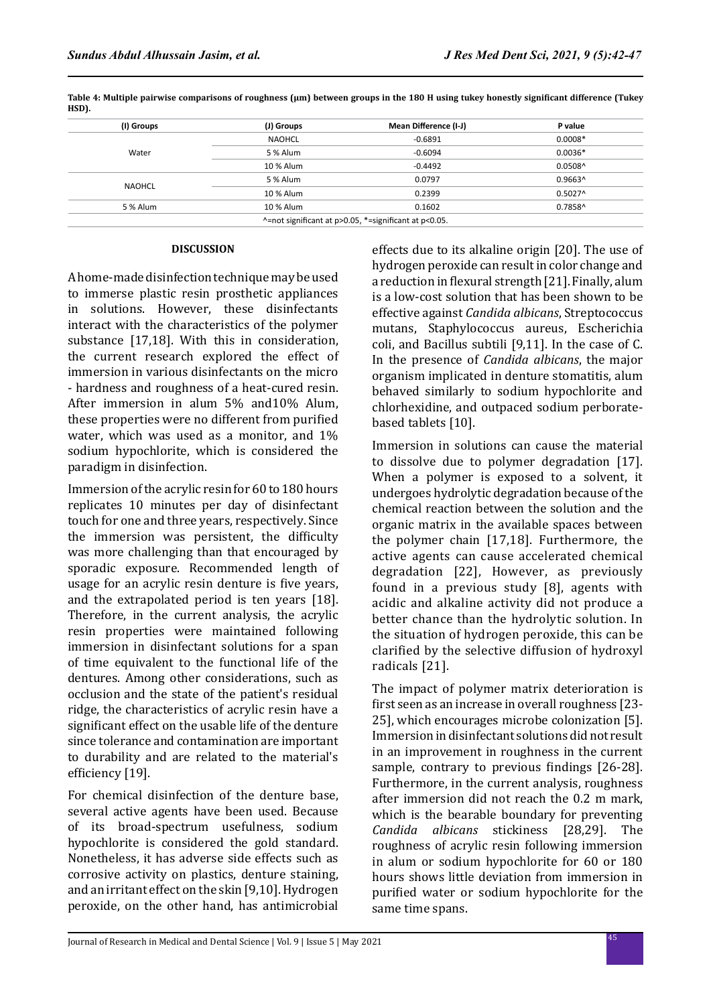| (I) Groups | (J) Groups                                            | Mean Difference (I-J) | P value          |  |  |
|------------|-------------------------------------------------------|-----------------------|------------------|--|--|
|            | NAOHCL                                                | $-0.6891$             | $0.0008*$        |  |  |
| Water      | 5 % Alum                                              | $-0.6094$             | $0.0036*$        |  |  |
|            | 10 % Alum                                             | $-0.4492$             | $0.0508^{\circ}$ |  |  |
|            | 5 % Alum                                              | 0.0797                | $0.9663^$        |  |  |
| NAOHCL     | 10 % Alum                                             | 0.2399                | $0.5027^$        |  |  |
| 5 % Alum   | 10 % Alum                                             | 0.1602                | 0.7858^          |  |  |
|            | ^=not significant at p>0.05, *=significant at p<0.05. |                       |                  |  |  |

Table 4: Multiple pairwise comparisons of roughness (µm) between groups in the 180 H using tukey honestly significant difference (Tukey **HSD).**

#### **DISCUSSION**

A home-made disinfection technique may be used to immerse plastic resin prosthetic appliances in solutions. However, these disinfectants interact with the characteristics of the polymer substance [17,18]. With this in consideration, the current research explored the effect of immersion in various disinfectants on the micro - hardness and roughness of a heat-cured resin. After immersion in alum 5% and10% Alum, these properties were no different from purified water, which was used as a monitor, and 1% sodium hypochlorite, which is considered the paradigm in disinfection.

Immersion of the acrylic resin for 60 to 180 hours replicates 10 minutes per day of disinfectant touch for one and three years, respectively. Since the immersion was persistent, the difficulty was more challenging than that encouraged by sporadic exposure. Recommended length of usage for an acrylic resin denture is five years, and the extrapolated period is ten years [18]. Therefore, in the current analysis, the acrylic resin properties were maintained following immersion in disinfectant solutions for a span of time equivalent to the functional life of the dentures. Among other considerations, such as occlusion and the state of the patient's residual ridge, the characteristics of acrylic resin have a significant effect on the usable life of the denture since tolerance and contamination are important to durability and are related to the material's efficiency [19].

For chemical disinfection of the denture base, several active agents have been used. Because of its broad-spectrum usefulness, sodium hypochlorite is considered the gold standard. Nonetheless, it has adverse side effects such as corrosive activity on plastics, denture staining, and an irritant effect on the skin [9,10]. Hydrogen peroxide, on the other hand, has antimicrobial effects due to its alkaline origin [20]. The use of hydrogen peroxide can result in color change and a reduction in flexural strength [21]. Finally, alum is a low-cost solution that has been shown to be effective against *Candida albicans*, Streptococcus mutans, Staphylococcus aureus, Escherichia coli, and Bacillus subtili [9,11]. In the case of C. In the presence of *Candida albicans*, the major organism implicated in denture stomatitis, alum behaved similarly to sodium hypochlorite and chlorhexidine, and outpaced sodium perboratebased tablets [10].

Immersion in solutions can cause the material to dissolve due to polymer degradation [17]. When a polymer is exposed to a solvent, it undergoes hydrolytic degradation because of the chemical reaction between the solution and the organic matrix in the available spaces between the polymer chain [17,18]. Furthermore, the active agents can cause accelerated chemical degradation [22], However, as previously found in a previous study [8], agents with acidic and alkaline activity did not produce a better chance than the hydrolytic solution. In the situation of hydrogen peroxide, this can be clarified by the selective diffusion of hydroxyl radicals [21].

The impact of polymer matrix deterioration is first seen as an increase in overall roughness [23- 25], which encourages microbe colonization [5]. Immersion in disinfectant solutions did not result in an improvement in roughness in the current sample, contrary to previous findings [26-28]. Furthermore, in the current analysis, roughness after immersion did not reach the 0.2 m mark, which is the bearable boundary for preventing *Candida albicans* stickiness [28,29]. The roughness of acrylic resin following immersion in alum or sodium hypochlorite for 60 or 180 hours shows little deviation from immersion in purified water or sodium hypochlorite for the same time spans.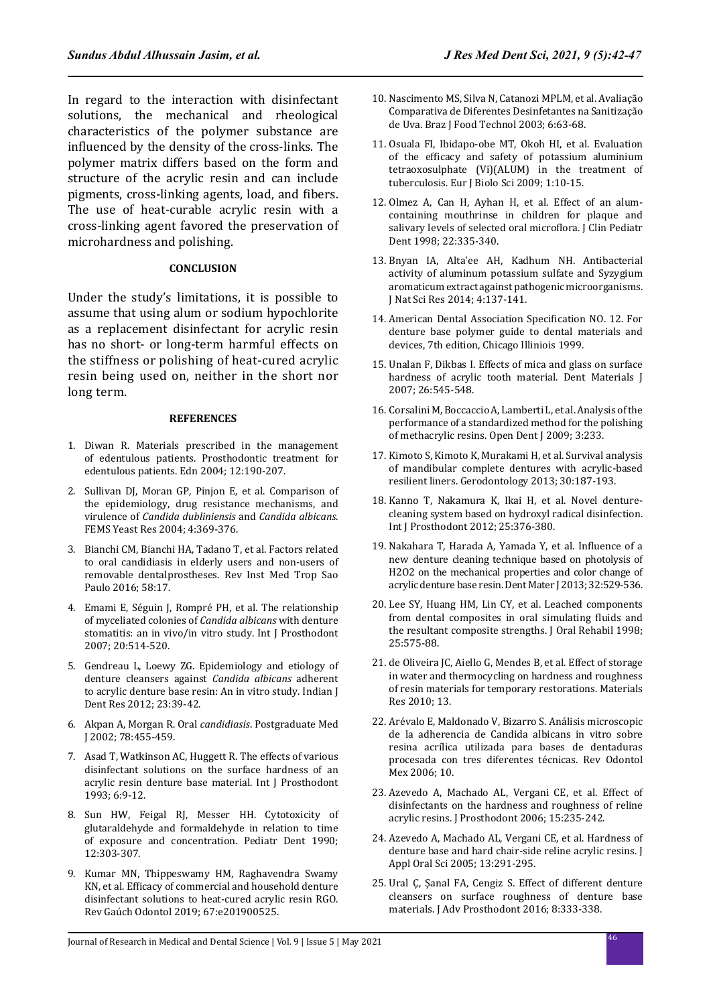In regard to the interaction with disinfectant solutions, the mechanical and rheological characteristics of the polymer substance are influenced by the density of the cross-links. The polymer matrix differs based on the form and structure of the acrylic resin and can include pigments, cross-linking agents, load, and fibers. The use of heat-curable acrylic resin with a cross-linking agent favored the preservation of microhardness and polishing.

#### **CONCLUSION**

Under the study's limitations, it is possible to assume that using alum or sodium hypochlorite as a replacement disinfectant for acrylic resin has no short- or long-term harmful effects on the stiffness or polishing of heat-cured acrylic resin being used on, neither in the short nor long term.

#### **REFERENCES**

- 1. Diwan R. Materials prescribed in the management of edentulous patients. Prosthodontic treatment for edentulous patients. Edn 2004; 12:190-207.
- 2. Sullivan DJ, Moran GP, Pinjon E, et al. Comparison of the epidemiology, drug resistance mechanisms, and virulence of *Candida dubliniensis* and *Candida albicans*. FEMS Yeast Res 2004; 4:369-376.
- 3. Bianchi CM, Bianchi HA, Tadano T, et al. Factors related to oral candidiasis in elderly users and non-users of removable dentalprostheses. Rev Inst Med Trop Sao Paulo 2016; 58:17.
- 4. Emami E, Séguin J, Rompré PH, et al. The relationship of myceliated colonies of *Candida albicans* with denture stomatitis: an in vivo/in vitro study. Int J Prosthodont 2007; 20:514-520.
- 5. Gendreau L, Loewy ZG. Epidemiology and etiology of denture cleansers against *Candida albicans* adherent to acrylic denture base resin: An in vitro study. Indian J Dent Res 2012; 23:39-42.
- 6. Akpan A, Morgan R. Oral *candidiasis*. Postgraduate Med J 2002; 78:455-459.
- 7. Asad T, Watkinson AC, Huggett R. The effects of various disinfectant solutions on the surface hardness of an acrylic resin denture base material. Int J Prosthodont 1993; 6:9-12.
- 8. Sun HW, Feigal RJ, Messer HH. Cytotoxicity of glutaraldehyde and formaldehyde in relation to time of exposure and concentration. Pediatr Dent 1990; 12:303-307.
- 9. Kumar MN, Thippeswamy HM, Raghavendra Swamy KN, et al. Efficacy of commercial and household denture disinfectant solutions to heat-cured acrylic resin RGO. Rev Gaúch Odontol 2019; 67:e201900525.
- 10. Nascimento MS, Silva N, Catanozi MPLM, et al. Avaliação Comparativa de Diferentes Desinfetantes na Sanitização de Uva. Braz J Food Technol 2003; 6:63-68.
- 11. Osuala FI, Ibidapo-obe MT, Okoh HI, et al. Evaluation of the efficacy and safety of potassium aluminium tetraoxosulphate (Vi)(ALUM) in the treatment of tuberculosis. Eur J Biolo Sci 2009; 1:10-15.
- 12. Olmez A, Can H, Ayhan H, et al. Effect of an alumcontaining mouthrinse in children for plaque and salivary levels of selected oral microflora. J Clin Pediatr Dent 1998; 22:335-340.
- 13. Bnyan IA, Alta'ee AH, Kadhum NH. Antibacterial activity of aluminum potassium sulfate and Syzygium aromaticum extract against pathogenic microorganisms. J Nat Sci Res 2014; 4:137-141.
- 14. American Dental Association Specification NO. 12. For denture base polymer guide to dental materials and devices, 7th edition, Chicago Illiniois 1999.
- 15. Unalan F, Dikbas I. Effects of mica and glass on surface hardness of acrylic tooth material. Dent Materials J 2007; 26:545-548.
- 16. Corsalini M, Boccaccio A, Lamberti L, et al. Analysis of the performance of a standardized method for the polishing of methacrylic resins. Open Dent J 2009; 3:233.
- 17. Kimoto S, Kimoto K, Murakami H, et al. Survival analysis of mandibular complete dentures with acrylic-based resilient liners. Gerodontology 2013; 30:187-193.
- 18. Kanno T, Nakamura K, Ikai H, et al. Novel denturecleaning system based on hydroxyl radical disinfection. Int J Prosthodont 2012; 25:376-380.
- 19. Nakahara T, Harada A, Yamada Y, et al. Influence of a new denture cleaning technique based on photolysis of H2O2 on the mechanical properties and color change of acrylic denture base resin. Dent Mater J 2013; 32:529-536.
- 20. Lee SY, Huang HM, Lin CY, et al. Leached components from dental composites in oral simulating fluids and the resultant composite strengths. J Oral Rehabil 1998; 25:575-88.
- 21. de Oliveira JC, Aiello G, Mendes B, et al. Effect of storage in water and thermocycling on hardness and roughness of resin materials for temporary restorations. Materials Res 2010; 13.
- 22. Arévalo E, Maldonado V, Bizarro S. Análisis microscopic de la adherencia de Candida albicans in vitro sobre resina acrílica utilizada para bases de dentaduras procesada con tres diferentes técnicas. Rev Odontol Mex 2006; 10.
- 23. Azevedo A, Machado AL, Vergani CE, et al. Effect of disinfectants on the hardness and roughness of reline acrylic resins. J Prosthodont 2006; 15:235-242.
- 24. Azevedo A, Machado AL, Vergani CE, et al. Hardness of denture base and hard chair-side reline acrylic resins. J Appl Oral Sci 2005; 13:291-295.
- 25. Ural Ç, Şanal FA, Cengiz S. Effect of different denture cleansers on surface roughness of denture base materials. J Adv Prosthodont 2016; 8:333-338.